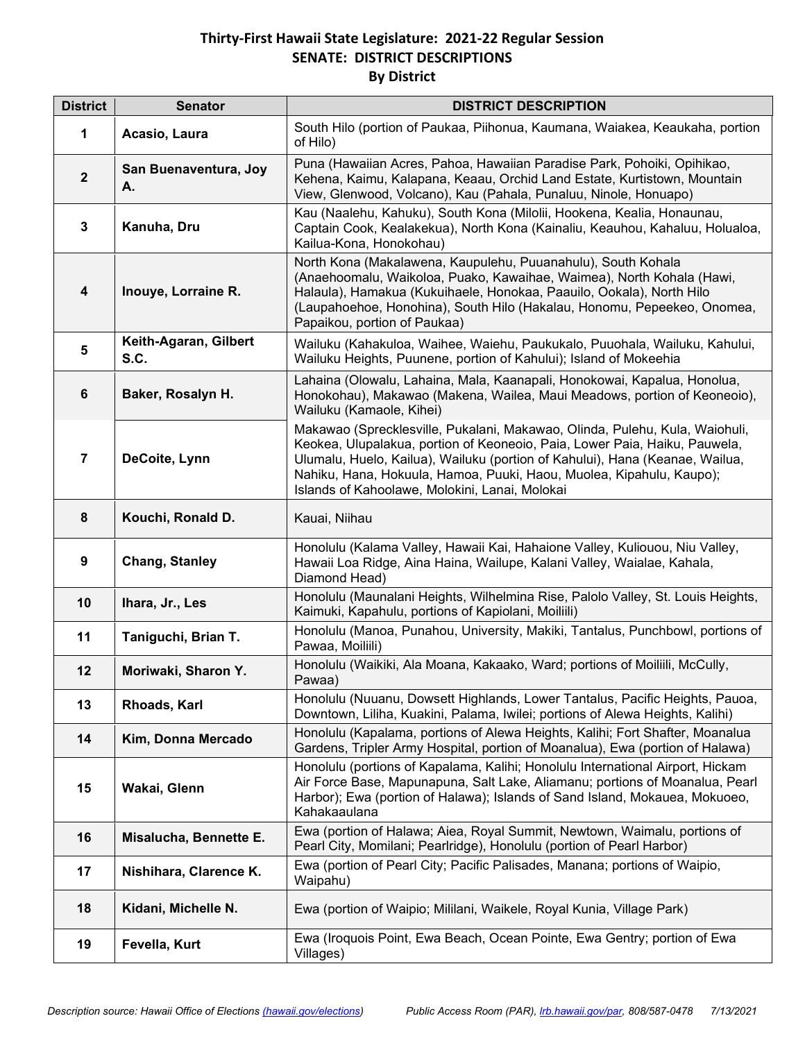## **Thirty-First Hawaii State Legislature: 2021-22 Regular Session SENATE: DISTRICT DESCRIPTIONS By District**

| <b>District</b>         | <b>Senator</b>                | <b>DISTRICT DESCRIPTION</b>                                                                                                                                                                                                                                                                                                                                         |
|-------------------------|-------------------------------|---------------------------------------------------------------------------------------------------------------------------------------------------------------------------------------------------------------------------------------------------------------------------------------------------------------------------------------------------------------------|
| 1                       | Acasio, Laura                 | South Hilo (portion of Paukaa, Piihonua, Kaumana, Waiakea, Keaukaha, portion<br>of Hilo)                                                                                                                                                                                                                                                                            |
| $\mathbf{2}$            | San Buenaventura, Joy<br>А.   | Puna (Hawaiian Acres, Pahoa, Hawaiian Paradise Park, Pohoiki, Opihikao,<br>Kehena, Kaimu, Kalapana, Keaau, Orchid Land Estate, Kurtistown, Mountain<br>View, Glenwood, Volcano), Kau (Pahala, Punaluu, Ninole, Honuapo)                                                                                                                                             |
| $\mathbf{3}$            | Kanuha, Dru                   | Kau (Naalehu, Kahuku), South Kona (Milolii, Hookena, Kealia, Honaunau,<br>Captain Cook, Kealakekua), North Kona (Kainaliu, Keauhou, Kahaluu, Holualoa,<br>Kailua-Kona, Honokohau)                                                                                                                                                                                   |
| $\overline{\mathbf{4}}$ | Inouye, Lorraine R.           | North Kona (Makalawena, Kaupulehu, Puuanahulu), South Kohala<br>(Anaehoomalu, Waikoloa, Puako, Kawaihae, Waimea), North Kohala (Hawi,<br>Halaula), Hamakua (Kukuihaele, Honokaa, Paauilo, Ookala), North Hilo<br>(Laupahoehoe, Honohina), South Hilo (Hakalau, Honomu, Pepeekeo, Onomea,<br>Papaikou, portion of Paukaa)                                            |
| $\overline{\mathbf{5}}$ | Keith-Agaran, Gilbert<br>S.C. | Wailuku (Kahakuloa, Waihee, Waiehu, Paukukalo, Puuohala, Wailuku, Kahului,<br>Wailuku Heights, Puunene, portion of Kahului); Island of Mokeehia                                                                                                                                                                                                                     |
| $\bf 6$                 | Baker, Rosalyn H.             | Lahaina (Olowalu, Lahaina, Mala, Kaanapali, Honokowai, Kapalua, Honolua,<br>Honokohau), Makawao (Makena, Wailea, Maui Meadows, portion of Keoneoio),<br>Wailuku (Kamaole, Kihei)                                                                                                                                                                                    |
| 7                       | DeCoite, Lynn                 | Makawao (Sprecklesville, Pukalani, Makawao, Olinda, Pulehu, Kula, Waiohuli,<br>Keokea, Ulupalakua, portion of Keoneoio, Paia, Lower Paia, Haiku, Pauwela,<br>Ulumalu, Huelo, Kailua), Wailuku (portion of Kahului), Hana (Keanae, Wailua,<br>Nahiku, Hana, Hokuula, Hamoa, Puuki, Haou, Muolea, Kipahulu, Kaupo);<br>Islands of Kahoolawe, Molokini, Lanai, Molokai |
| $\bf 8$                 | Kouchi, Ronald D.             | Kauai, Niihau                                                                                                                                                                                                                                                                                                                                                       |
| $\boldsymbol{9}$        | <b>Chang, Stanley</b>         | Honolulu (Kalama Valley, Hawaii Kai, Hahaione Valley, Kuliouou, Niu Valley,<br>Hawaii Loa Ridge, Aina Haina, Wailupe, Kalani Valley, Waialae, Kahala,<br>Diamond Head)                                                                                                                                                                                              |
| 10                      | Ihara, Jr., Les               | Honolulu (Maunalani Heights, Wilhelmina Rise, Palolo Valley, St. Louis Heights,<br>Kaimuki, Kapahulu, portions of Kapiolani, Moiliili)                                                                                                                                                                                                                              |
| 11                      | Taniguchi, Brian T.           | Honolulu (Manoa, Punahou, University, Makiki, Tantalus, Punchbowl, portions of<br>Pawaa, Moiliili)                                                                                                                                                                                                                                                                  |
| 12                      | Moriwaki, Sharon Y.           | Honolulu (Waikiki, Ala Moana, Kakaako, Ward; portions of Moiliili, McCully,<br>Pawaa)                                                                                                                                                                                                                                                                               |
| 13                      | Rhoads, Karl                  | Honolulu (Nuuanu, Dowsett Highlands, Lower Tantalus, Pacific Heights, Pauoa,<br>Downtown, Liliha, Kuakini, Palama, Iwilei; portions of Alewa Heights, Kalihi)                                                                                                                                                                                                       |
| 14                      | Kim, Donna Mercado            | Honolulu (Kapalama, portions of Alewa Heights, Kalihi; Fort Shafter, Moanalua<br>Gardens, Tripler Army Hospital, portion of Moanalua), Ewa (portion of Halawa)                                                                                                                                                                                                      |
| 15                      | Wakai, Glenn                  | Honolulu (portions of Kapalama, Kalihi; Honolulu International Airport, Hickam<br>Air Force Base, Mapunapuna, Salt Lake, Aliamanu; portions of Moanalua, Pearl<br>Harbor); Ewa (portion of Halawa); Islands of Sand Island, Mokauea, Mokuoeo,<br>Kahakaaulana                                                                                                       |
| 16                      | Misalucha, Bennette E.        | Ewa (portion of Halawa; Aiea, Royal Summit, Newtown, Waimalu, portions of<br>Pearl City, Momilani; Pearlridge), Honolulu (portion of Pearl Harbor)                                                                                                                                                                                                                  |
| 17                      | Nishihara, Clarence K.        | Ewa (portion of Pearl City; Pacific Palisades, Manana; portions of Waipio,<br>Waipahu)                                                                                                                                                                                                                                                                              |
| 18                      | Kidani, Michelle N.           | Ewa (portion of Waipio; Mililani, Waikele, Royal Kunia, Village Park)                                                                                                                                                                                                                                                                                               |
| 19                      | Fevella, Kurt                 | Ewa (Iroquois Point, Ewa Beach, Ocean Pointe, Ewa Gentry; portion of Ewa<br>Villages)                                                                                                                                                                                                                                                                               |